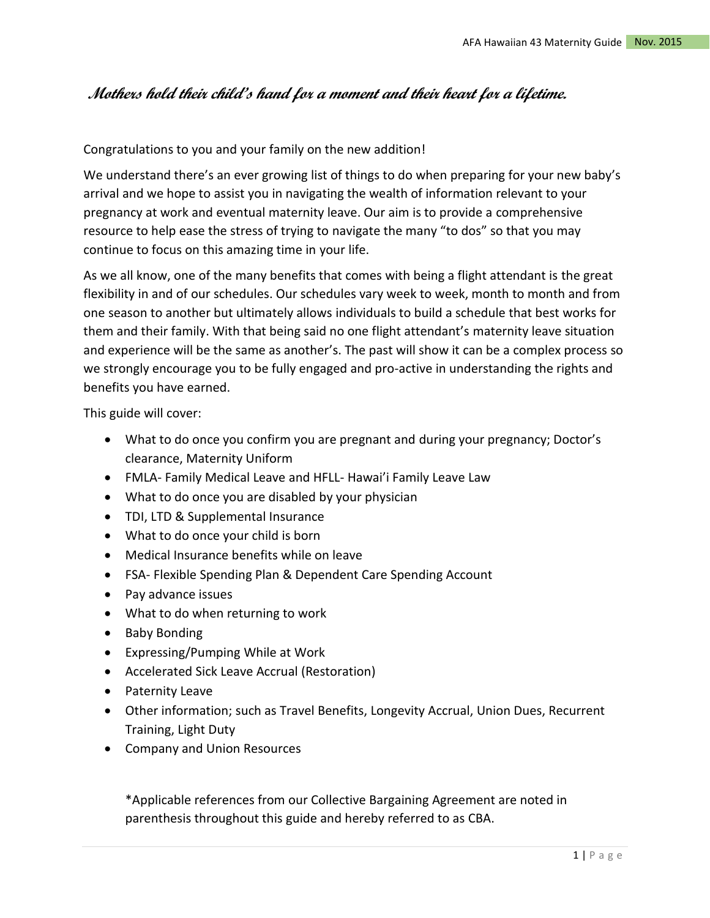# **Mothers hold their child's hand for a moment and their heart for a lifetime.**

Congratulations to you and your family on the new addition!

We understand there's an ever growing list of things to do when preparing for your new baby's arrival and we hope to assist you in navigating the wealth of information relevant to your pregnancy at work and eventual maternity leave. Our aim is to provide a comprehensive resource to help ease the stress of trying to navigate the many "to dos" so that you may continue to focus on this amazing time in your life.

As we all know, one of the many benefits that comes with being a flight attendant is the great flexibility in and of our schedules. Our schedules vary week to week, month to month and from one season to another but ultimately allows individuals to build a schedule that best works for them and their family. With that being said no one flight attendant's maternity leave situation and experience will be the same as another's. The past will show it can be a complex process so we strongly encourage you to be fully engaged and pro-active in understanding the rights and benefits you have earned.

This guide will cover:

- What to do once you confirm you are pregnant and during your pregnancy; Doctor's clearance, Maternity Uniform
- FMLA- Family Medical Leave and HFLL- Hawai'i Family Leave Law
- What to do once you are disabled by your physician
- TDI, LTD & Supplemental Insurance
- What to do once your child is born
- Medical Insurance benefits while on leave
- FSA- Flexible Spending Plan & Dependent Care Spending Account
- Pay advance issues
- What to do when returning to work
- Baby Bonding
- Expressing/Pumping While at Work
- Accelerated Sick Leave Accrual (Restoration)
- Paternity Leave
- Other information; such as Travel Benefits, Longevity Accrual, Union Dues, Recurrent Training, Light Duty
- Company and Union Resources

\*Applicable references from our Collective Bargaining Agreement are noted in parenthesis throughout this guide and hereby referred to as CBA.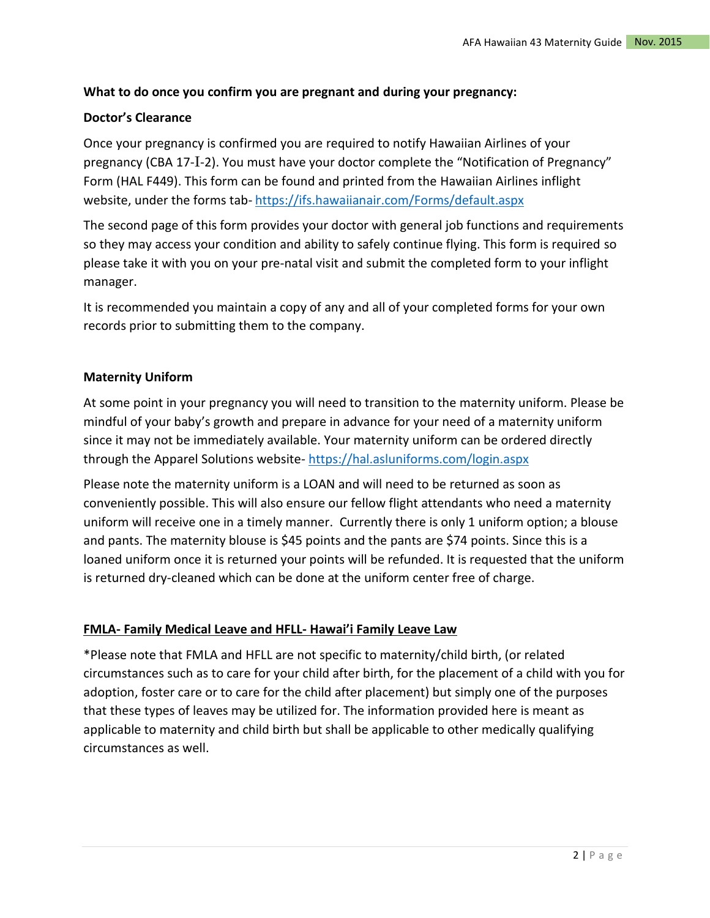# **What to do once you confirm you are pregnant and during your pregnancy:**

# **Doctor's Clearance**

Once your pregnancy is confirmed you are required to notify Hawaiian Airlines of your pregnancy (CBA 17-I-2). You must have your doctor complete the "Notification of Pregnancy" Form (HAL F449). This form can be found and printed from the Hawaiian Airlines inflight website, under the forms tab- <https://ifs.hawaiianair.com/Forms/default.aspx>

The second page of this form provides your doctor with general job functions and requirements so they may access your condition and ability to safely continue flying. This form is required so please take it with you on your pre-natal visit and submit the completed form to your inflight manager.

It is recommended you maintain a copy of any and all of your completed forms for your own records prior to submitting them to the company.

# **Maternity Uniform**

At some point in your pregnancy you will need to transition to the maternity uniform. Please be mindful of your baby's growth and prepare in advance for your need of a maternity uniform since it may not be immediately available. Your maternity uniform can be ordered directly through the Apparel Solutions website- <https://hal.asluniforms.com/login.aspx>

Please note the maternity uniform is a LOAN and will need to be returned as soon as conveniently possible. This will also ensure our fellow flight attendants who need a maternity uniform will receive one in a timely manner. Currently there is only 1 uniform option; a blouse and pants. The maternity blouse is \$45 points and the pants are \$74 points. Since this is a loaned uniform once it is returned your points will be refunded. It is requested that the uniform is returned dry-cleaned which can be done at the uniform center free of charge.

# **FMLA- Family Medical Leave and HFLL- Hawai'i Family Leave Law**

\*Please note that FMLA and HFLL are not specific to maternity/child birth, (or related circumstances such as to care for your child after birth, for the placement of a child with you for adoption, foster care or to care for the child after placement) but simply one of the purposes that these types of leaves may be utilized for. The information provided here is meant as applicable to maternity and child birth but shall be applicable to other medically qualifying circumstances as well.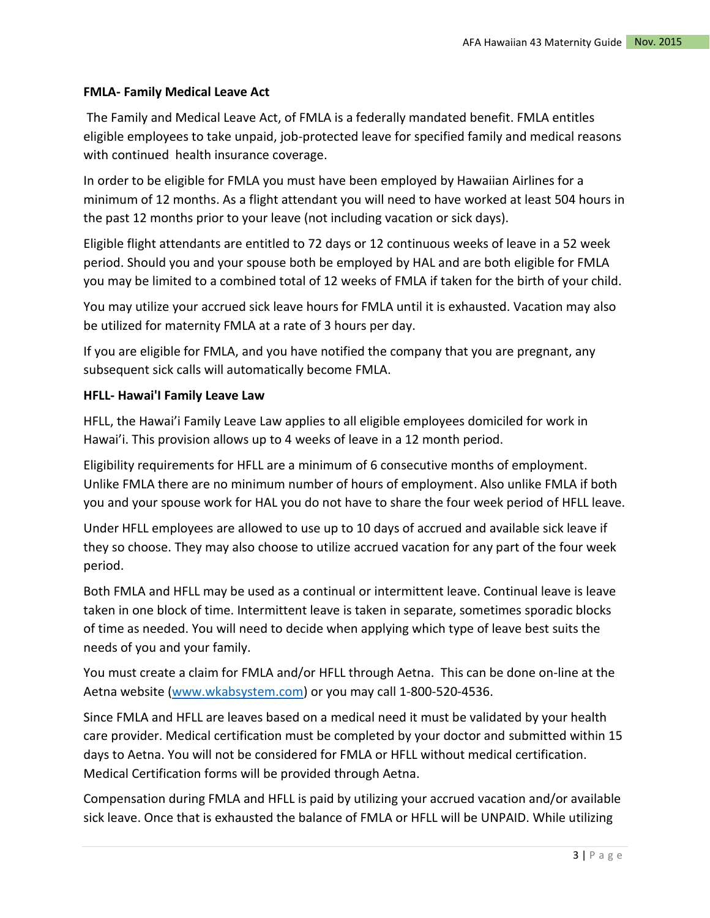#### **FMLA- Family Medical Leave Act**

The Family and Medical Leave Act, of FMLA is a federally mandated benefit. FMLA entitles eligible employees to take unpaid, job-protected leave for specified family and medical reasons with continued health insurance coverage.

In order to be eligible for FMLA you must have been employed by Hawaiian Airlines for a minimum of 12 months. As a flight attendant you will need to have worked at least 504 hours in the past 12 months prior to your leave (not including vacation or sick days).

Eligible flight attendants are entitled to 72 days or 12 continuous weeks of leave in a 52 week period. Should you and your spouse both be employed by HAL and are both eligible for FMLA you may be limited to a combined total of 12 weeks of FMLA if taken for the birth of your child.

You may utilize your accrued sick leave hours for FMLA until it is exhausted. Vacation may also be utilized for maternity FMLA at a rate of 3 hours per day.

If you are eligible for FMLA, and you have notified the company that you are pregnant, any subsequent sick calls will automatically become FMLA.

#### **HFLL- Hawai'I Family Leave Law**

HFLL, the Hawai'i Family Leave Law applies to all eligible employees domiciled for work in Hawai'i. This provision allows up to 4 weeks of leave in a 12 month period.

Eligibility requirements for HFLL are a minimum of 6 consecutive months of employment. Unlike FMLA there are no minimum number of hours of employment. Also unlike FMLA if both you and your spouse work for HAL you do not have to share the four week period of HFLL leave.

Under HFLL employees are allowed to use up to 10 days of accrued and available sick leave if they so choose. They may also choose to utilize accrued vacation for any part of the four week period.

Both FMLA and HFLL may be used as a continual or intermittent leave. Continual leave is leave taken in one block of time. Intermittent leave is taken in separate, sometimes sporadic blocks of time as needed. You will need to decide when applying which type of leave best suits the needs of you and your family.

You must create a claim for FMLA and/or HFLL through Aetna. This can be done on-line at the Aetna website [\(www.wkabsystem.com\)](http://www.wkabsystem.com/) or you may call 1-800-520-4536.

Since FMLA and HFLL are leaves based on a medical need it must be validated by your health care provider. Medical certification must be completed by your doctor and submitted within 15 days to Aetna. You will not be considered for FMLA or HFLL without medical certification. Medical Certification forms will be provided through Aetna.

Compensation during FMLA and HFLL is paid by utilizing your accrued vacation and/or available sick leave. Once that is exhausted the balance of FMLA or HFLL will be UNPAID. While utilizing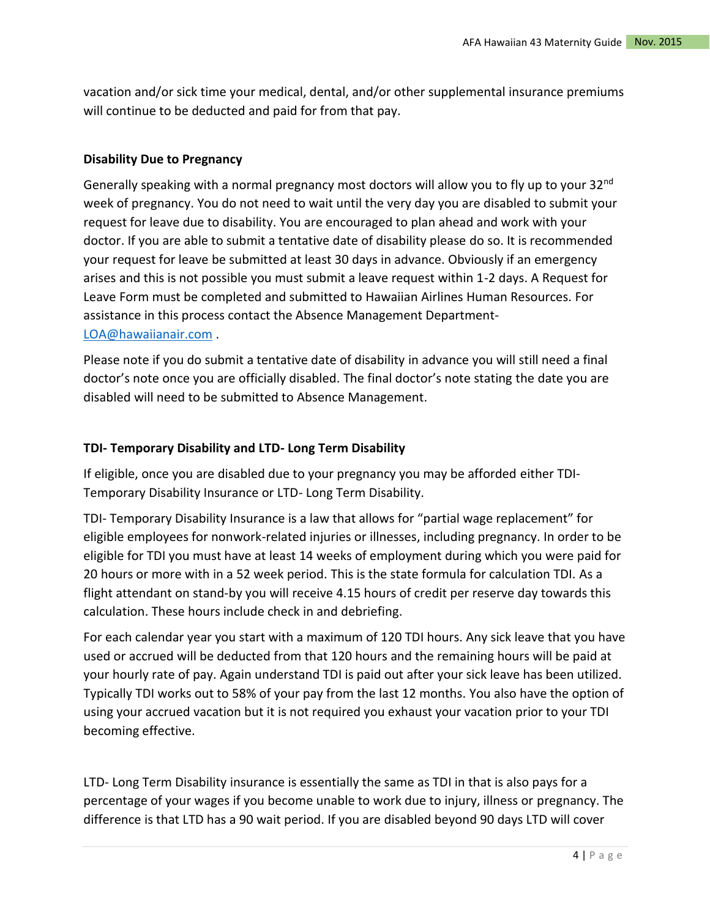vacation and/or sick time your medical, dental, and/or other supplemental insurance premiums will continue to be deducted and paid for from that pay.

#### **Disability Due to Pregnancy**

Generally speaking with a normal pregnancy most doctors will allow you to fly up to your 32<sup>nd</sup> week of pregnancy. You do not need to wait until the very day you are disabled to submit your request for leave due to disability. You are encouraged to plan ahead and work with your doctor. If you are able to submit a tentative date of disability please do so. It is recommended your request for leave be submitted at least 30 days in advance. Obviously if an emergency arises and this is not possible you must submit a leave request within 1-2 days. A Request for Leave Form must be completed and submitted to Hawaiian Airlines Human Resources. For assistance in this process contact the Absence Management Department-[LOA@hawaiianair.com](mailto:LOA@hawaiianair.com) .

Please note if you do submit a tentative date of disability in advance you will still need a final doctor's note once you are officially disabled. The final doctor's note stating the date you are disabled will need to be submitted to Absence Management.

#### **TDI- Temporary Disability and LTD- Long Term Disability**

If eligible, once you are disabled due to your pregnancy you may be afforded either TDI-Temporary Disability Insurance or LTD- Long Term Disability.

TDI- Temporary Disability Insurance is a law that allows for "partial wage replacement" for eligible employees for nonwork-related injuries or illnesses, including pregnancy. In order to be eligible for TDI you must have at least 14 weeks of employment during which you were paid for 20 hours or more with in a 52 week period. This is the state formula for calculation TDI. As a flight attendant on stand-by you will receive 4.15 hours of credit per reserve day towards this calculation. These hours include check in and debriefing.

For each calendar year you start with a maximum of 120 TDI hours. Any sick leave that you have used or accrued will be deducted from that 120 hours and the remaining hours will be paid at your hourly rate of pay. Again understand TDI is paid out after your sick leave has been utilized. Typically TDI works out to 58% of your pay from the last 12 months. You also have the option of using your accrued vacation but it is not required you exhaust your vacation prior to your TDI becoming effective.

LTD- Long Term Disability insurance is essentially the same as TDI in that is also pays for a percentage of your wages if you become unable to work due to injury, illness or pregnancy. The difference is that LTD has a 90 wait period. If you are disabled beyond 90 days LTD will cover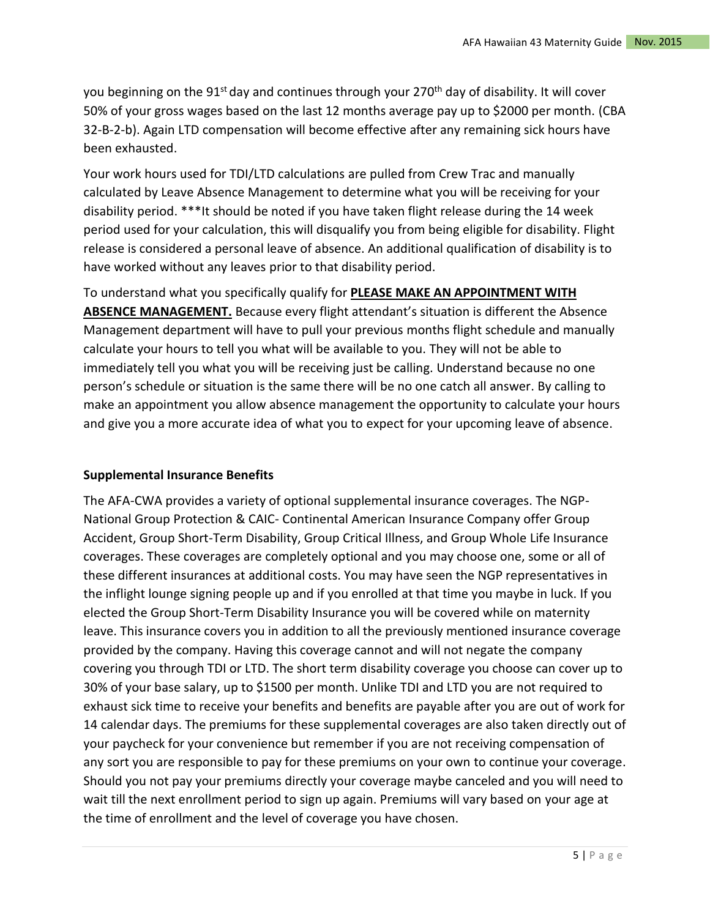you beginning on the  $91^{st}$  day and continues through your 270<sup>th</sup> day of disability. It will cover 50% of your gross wages based on the last 12 months average pay up to \$2000 per month. (CBA 32-B-2-b). Again LTD compensation will become effective after any remaining sick hours have been exhausted.

Your work hours used for TDI/LTD calculations are pulled from Crew Trac and manually calculated by Leave Absence Management to determine what you will be receiving for your disability period. \*\*\*It should be noted if you have taken flight release during the 14 week period used for your calculation, this will disqualify you from being eligible for disability. Flight release is considered a personal leave of absence. An additional qualification of disability is to have worked without any leaves prior to that disability period.

# To understand what you specifically qualify for **PLEASE MAKE AN APPOINTMENT WITH**

ABSENCE MANAGEMENT. Because every flight attendant's situation is different the Absence Management department will have to pull your previous months flight schedule and manually calculate your hours to tell you what will be available to you. They will not be able to immediately tell you what you will be receiving just be calling. Understand because no one person's schedule or situation is the same there will be no one catch all answer. By calling to make an appointment you allow absence management the opportunity to calculate your hours and give you a more accurate idea of what you to expect for your upcoming leave of absence.

## **Supplemental Insurance Benefits**

The AFA-CWA provides a variety of optional supplemental insurance coverages. The NGP-National Group Protection & CAIC- Continental American Insurance Company offer Group Accident, Group Short-Term Disability, Group Critical Illness, and Group Whole Life Insurance coverages. These coverages are completely optional and you may choose one, some or all of these different insurances at additional costs. You may have seen the NGP representatives in the inflight lounge signing people up and if you enrolled at that time you maybe in luck. If you elected the Group Short-Term Disability Insurance you will be covered while on maternity leave. This insurance covers you in addition to all the previously mentioned insurance coverage provided by the company. Having this coverage cannot and will not negate the company covering you through TDI or LTD. The short term disability coverage you choose can cover up to 30% of your base salary, up to \$1500 per month. Unlike TDI and LTD you are not required to exhaust sick time to receive your benefits and benefits are payable after you are out of work for 14 calendar days. The premiums for these supplemental coverages are also taken directly out of your paycheck for your convenience but remember if you are not receiving compensation of any sort you are responsible to pay for these premiums on your own to continue your coverage. Should you not pay your premiums directly your coverage maybe canceled and you will need to wait till the next enrollment period to sign up again. Premiums will vary based on your age at the time of enrollment and the level of coverage you have chosen.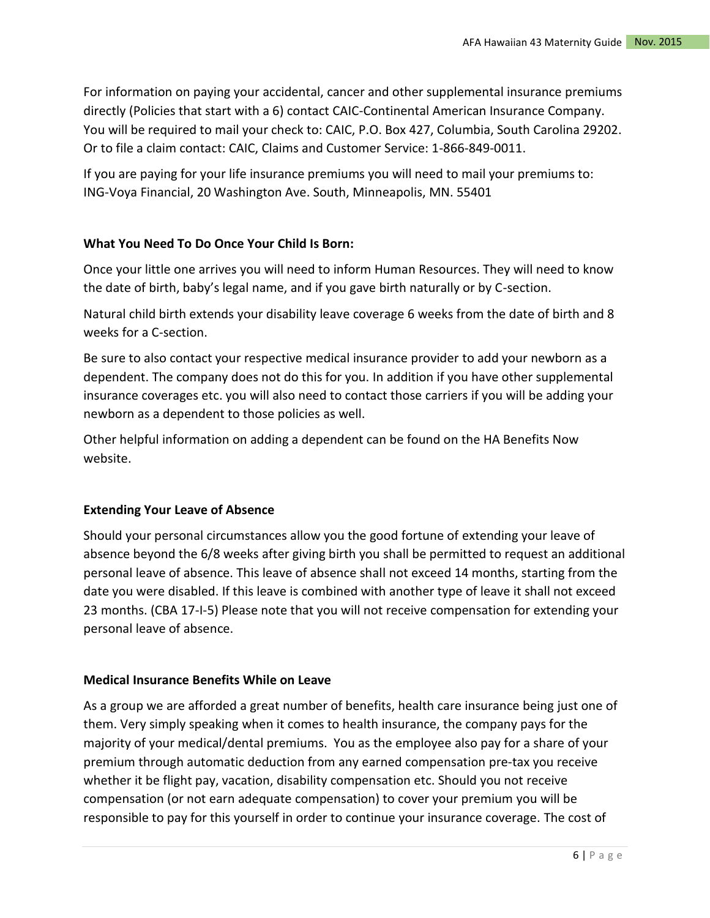For information on paying your accidental, cancer and other supplemental insurance premiums directly (Policies that start with a 6) contact CAIC-Continental American Insurance Company. You will be required to mail your check to: CAIC, P.O. Box 427, Columbia, South Carolina 29202. Or to file a claim contact: CAIC, Claims and Customer Service: 1-866-849-0011.

If you are paying for your life insurance premiums you will need to mail your premiums to: ING-Voya Financial, 20 Washington Ave. South, Minneapolis, MN. 55401

## **What You Need To Do Once Your Child Is Born:**

Once your little one arrives you will need to inform Human Resources. They will need to know the date of birth, baby's legal name, and if you gave birth naturally or by C-section.

Natural child birth extends your disability leave coverage 6 weeks from the date of birth and 8 weeks for a C-section.

Be sure to also contact your respective medical insurance provider to add your newborn as a dependent. The company does not do this for you. In addition if you have other supplemental insurance coverages etc. you will also need to contact those carriers if you will be adding your newborn as a dependent to those policies as well.

Other helpful information on adding a dependent can be found on the HA Benefits Now website.

#### **Extending Your Leave of Absence**

Should your personal circumstances allow you the good fortune of extending your leave of absence beyond the 6/8 weeks after giving birth you shall be permitted to request an additional personal leave of absence. This leave of absence shall not exceed 14 months, starting from the date you were disabled. If this leave is combined with another type of leave it shall not exceed 23 months. (CBA 17-I-5) Please note that you will not receive compensation for extending your personal leave of absence.

## **Medical Insurance Benefits While on Leave**

As a group we are afforded a great number of benefits, health care insurance being just one of them. Very simply speaking when it comes to health insurance, the company pays for the majority of your medical/dental premiums. You as the employee also pay for a share of your premium through automatic deduction from any earned compensation pre-tax you receive whether it be flight pay, vacation, disability compensation etc. Should you not receive compensation (or not earn adequate compensation) to cover your premium you will be responsible to pay for this yourself in order to continue your insurance coverage. The cost of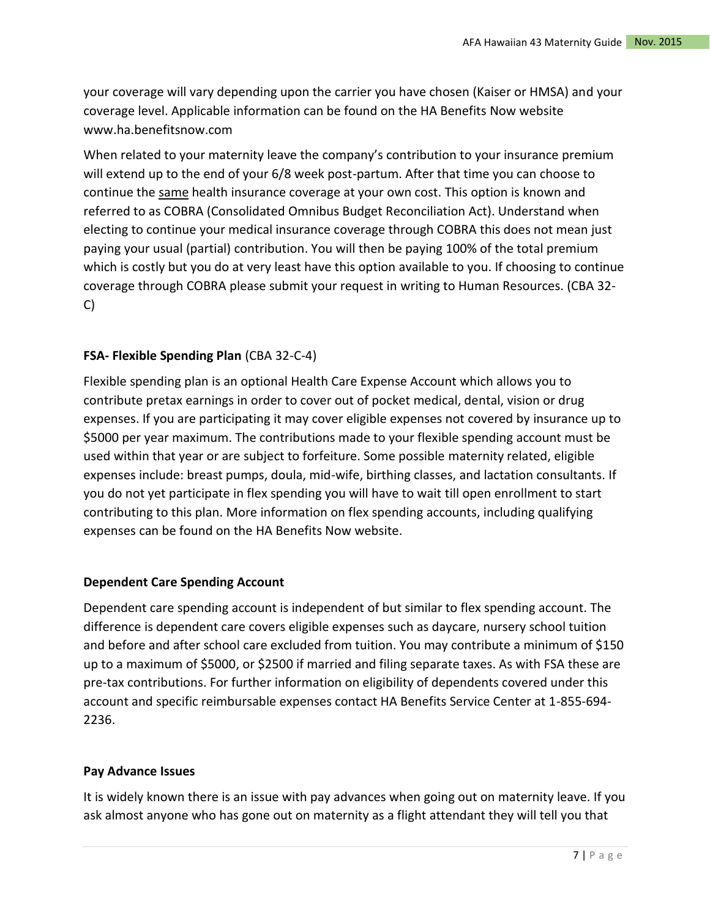your coverage will vary depending upon the carrier you have chosen (Kaiser or HMSA) and your coverage level. Applicable information can be found on the HA Benefits Now website www.ha.benefitsnow.com

When related to your maternity leave the company's contribution to your insurance premium will extend up to the end of your 6/8 week post-partum. After that time you can choose to continue the same health insurance coverage at your own cost. This option is known and referred to as COBRA (Consolidated Omnibus Budget Reconciliation Act). Understand when electing to continue your medical insurance coverage through COBRA this does not mean just paying your usual (partial) contribution. You will then be paying 100% of the total premium which is costly but you do at very least have this option available to you. If choosing to continue coverage through COBRA please submit your request in writing to Human Resources. (CBA 32- C)

# **FSA- Flexible Spending Plan** (CBA 32-C-4)

Flexible spending plan is an optional Health Care Expense Account which allows you to contribute pretax earnings in order to cover out of pocket medical, dental, vision or drug expenses. If you are participating it may cover eligible expenses not covered by insurance up to \$5000 per year maximum. The contributions made to your flexible spending account must be used within that year or are subject to forfeiture. Some possible maternity related, eligible expenses include: breast pumps, doula, mid-wife, birthing classes, and lactation consultants. If you do not yet participate in flex spending you will have to wait till open enrollment to start contributing to this plan. More information on flex spending accounts, including qualifying expenses can be found on the HA Benefits Now website.

## **Dependent Care Spending Account**

Dependent care spending account is independent of but similar to flex spending account. The difference is dependent care covers eligible expenses such as daycare, nursery school tuition and before and after school care excluded from tuition. You may contribute a minimum of \$150 up to a maximum of \$5000, or \$2500 if married and filing separate taxes. As with FSA these are pre-tax contributions. For further information on eligibility of dependents covered under this account and specific reimbursable expenses contact HA Benefits Service Center at 1-855-694- 2236.

#### **Pay Advance Issues**

It is widely known there is an issue with pay advances when going out on maternity leave. If you ask almost anyone who has gone out on maternity as a flight attendant they will tell you that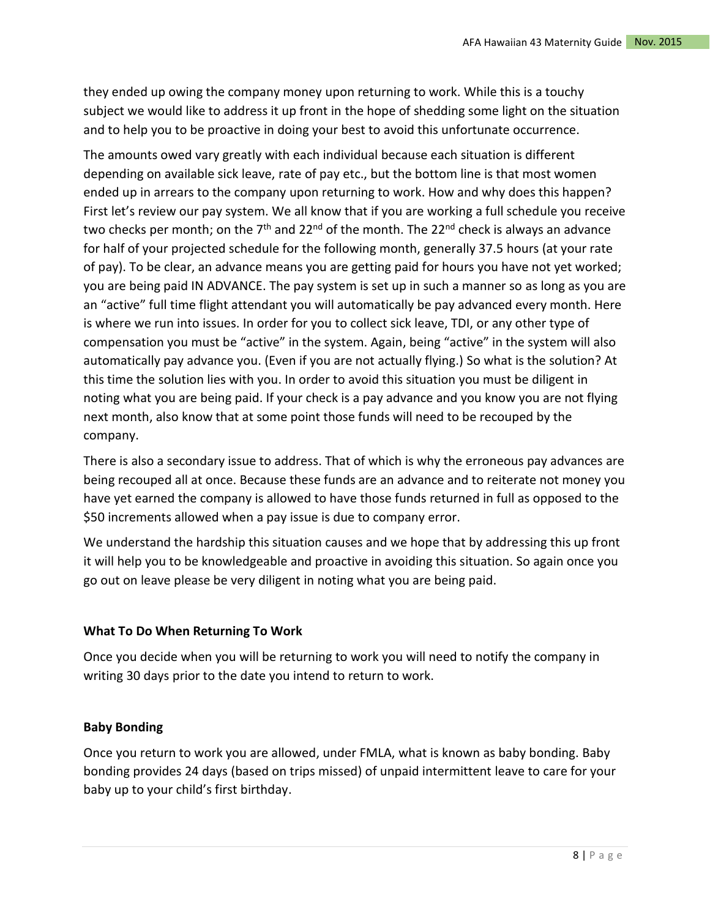they ended up owing the company money upon returning to work. While this is a touchy subject we would like to address it up front in the hope of shedding some light on the situation and to help you to be proactive in doing your best to avoid this unfortunate occurrence.

The amounts owed vary greatly with each individual because each situation is different depending on available sick leave, rate of pay etc., but the bottom line is that most women ended up in arrears to the company upon returning to work. How and why does this happen? First let's review our pay system. We all know that if you are working a full schedule you receive two checks per month; on the  $7<sup>th</sup>$  and 22<sup>nd</sup> of the month. The 22<sup>nd</sup> check is always an advance for half of your projected schedule for the following month, generally 37.5 hours (at your rate of pay). To be clear, an advance means you are getting paid for hours you have not yet worked; you are being paid IN ADVANCE. The pay system is set up in such a manner so as long as you are an "active" full time flight attendant you will automatically be pay advanced every month. Here is where we run into issues. In order for you to collect sick leave, TDI, or any other type of compensation you must be "active" in the system. Again, being "active" in the system will also automatically pay advance you. (Even if you are not actually flying.) So what is the solution? At this time the solution lies with you. In order to avoid this situation you must be diligent in noting what you are being paid. If your check is a pay advance and you know you are not flying next month, also know that at some point those funds will need to be recouped by the company.

There is also a secondary issue to address. That of which is why the erroneous pay advances are being recouped all at once. Because these funds are an advance and to reiterate not money you have yet earned the company is allowed to have those funds returned in full as opposed to the \$50 increments allowed when a pay issue is due to company error.

We understand the hardship this situation causes and we hope that by addressing this up front it will help you to be knowledgeable and proactive in avoiding this situation. So again once you go out on leave please be very diligent in noting what you are being paid.

# **What To Do When Returning To Work**

Once you decide when you will be returning to work you will need to notify the company in writing 30 days prior to the date you intend to return to work.

# **Baby Bonding**

Once you return to work you are allowed, under FMLA, what is known as baby bonding. Baby bonding provides 24 days (based on trips missed) of unpaid intermittent leave to care for your baby up to your child's first birthday.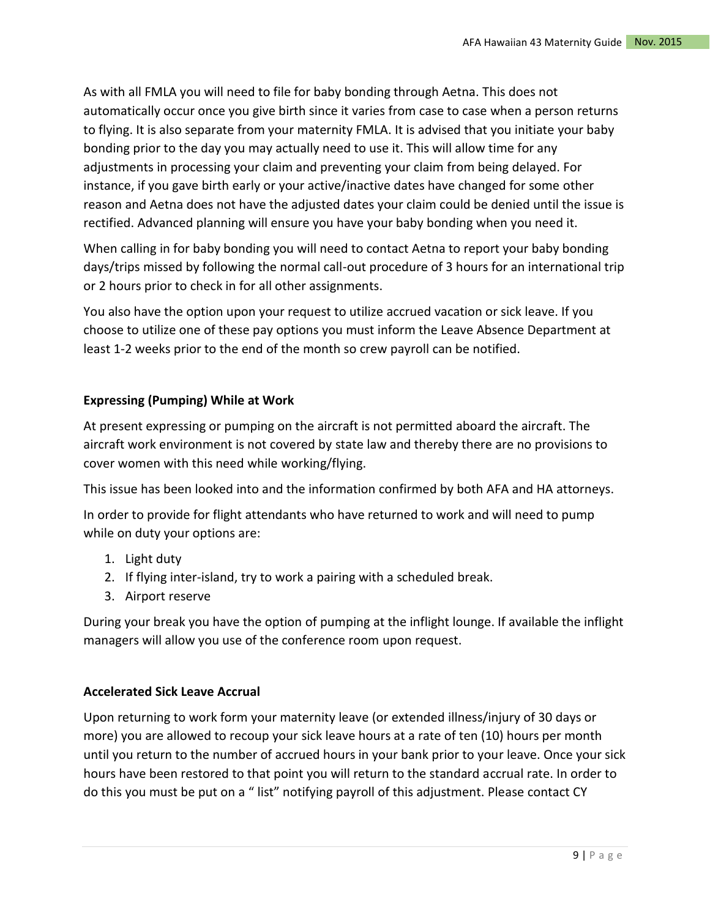As with all FMLA you will need to file for baby bonding through Aetna. This does not automatically occur once you give birth since it varies from case to case when a person returns to flying. It is also separate from your maternity FMLA. It is advised that you initiate your baby bonding prior to the day you may actually need to use it. This will allow time for any adjustments in processing your claim and preventing your claim from being delayed. For instance, if you gave birth early or your active/inactive dates have changed for some other reason and Aetna does not have the adjusted dates your claim could be denied until the issue is rectified. Advanced planning will ensure you have your baby bonding when you need it.

When calling in for baby bonding you will need to contact Aetna to report your baby bonding days/trips missed by following the normal call-out procedure of 3 hours for an international trip or 2 hours prior to check in for all other assignments.

You also have the option upon your request to utilize accrued vacation or sick leave. If you choose to utilize one of these pay options you must inform the Leave Absence Department at least 1-2 weeks prior to the end of the month so crew payroll can be notified.

# **Expressing (Pumping) While at Work**

At present expressing or pumping on the aircraft is not permitted aboard the aircraft. The aircraft work environment is not covered by state law and thereby there are no provisions to cover women with this need while working/flying.

This issue has been looked into and the information confirmed by both AFA and HA attorneys.

In order to provide for flight attendants who have returned to work and will need to pump while on duty your options are:

- 1. Light duty
- 2. If flying inter-island, try to work a pairing with a scheduled break.
- 3. Airport reserve

During your break you have the option of pumping at the inflight lounge. If available the inflight managers will allow you use of the conference room upon request.

## **Accelerated Sick Leave Accrual**

Upon returning to work form your maternity leave (or extended illness/injury of 30 days or more) you are allowed to recoup your sick leave hours at a rate of ten (10) hours per month until you return to the number of accrued hours in your bank prior to your leave. Once your sick hours have been restored to that point you will return to the standard accrual rate. In order to do this you must be put on a " list" notifying payroll of this adjustment. Please contact CY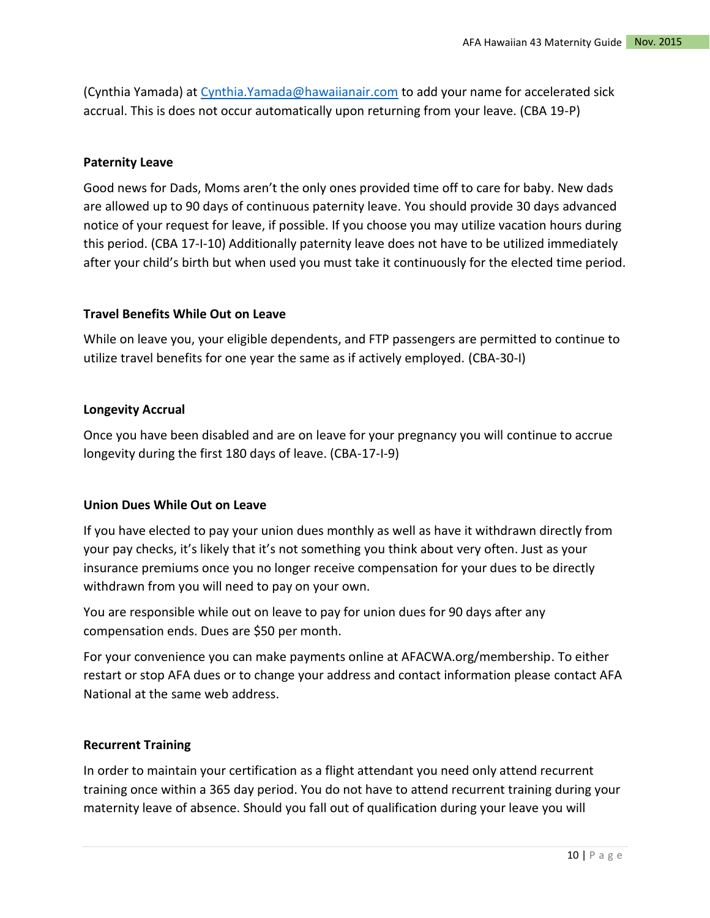(Cynthia Yamada) at [Cynthia.Yamada@hawaiianair.com](mailto:Cynthia.Yamada@hawaiianair.com) to add your name for accelerated sick accrual. This is does not occur automatically upon returning from your leave. (CBA 19-P)

#### **Paternity Leave**

Good news for Dads, Moms aren't the only ones provided time off to care for baby. New dads are allowed up to 90 days of continuous paternity leave. You should provide 30 days advanced notice of your request for leave, if possible. If you choose you may utilize vacation hours during this period. (CBA 17-I-10) Additionally paternity leave does not have to be utilized immediately after your child's birth but when used you must take it continuously for the elected time period.

## **Travel Benefits While Out on Leave**

While on leave you, your eligible dependents, and FTP passengers are permitted to continue to utilize travel benefits for one year the same as if actively employed. (CBA-30-I)

#### **Longevity Accrual**

Once you have been disabled and are on leave for your pregnancy you will continue to accrue longevity during the first 180 days of leave. (CBA-17-I-9)

#### **Union Dues While Out on Leave**

If you have elected to pay your union dues monthly as well as have it withdrawn directly from your pay checks, it's likely that it's not something you think about very often. Just as your insurance premiums once you no longer receive compensation for your dues to be directly withdrawn from you will need to pay on your own.

You are responsible while out on leave to pay for union dues for 90 days after any compensation ends. Dues are \$50 per month.

For your convenience you can make payments online at AFACWA.org/membership. To either restart or stop AFA dues or to change your address and contact information please contact AFA National at the same web address.

#### **Recurrent Training**

In order to maintain your certification as a flight attendant you need only attend recurrent training once within a 365 day period. You do not have to attend recurrent training during your maternity leave of absence. Should you fall out of qualification during your leave you will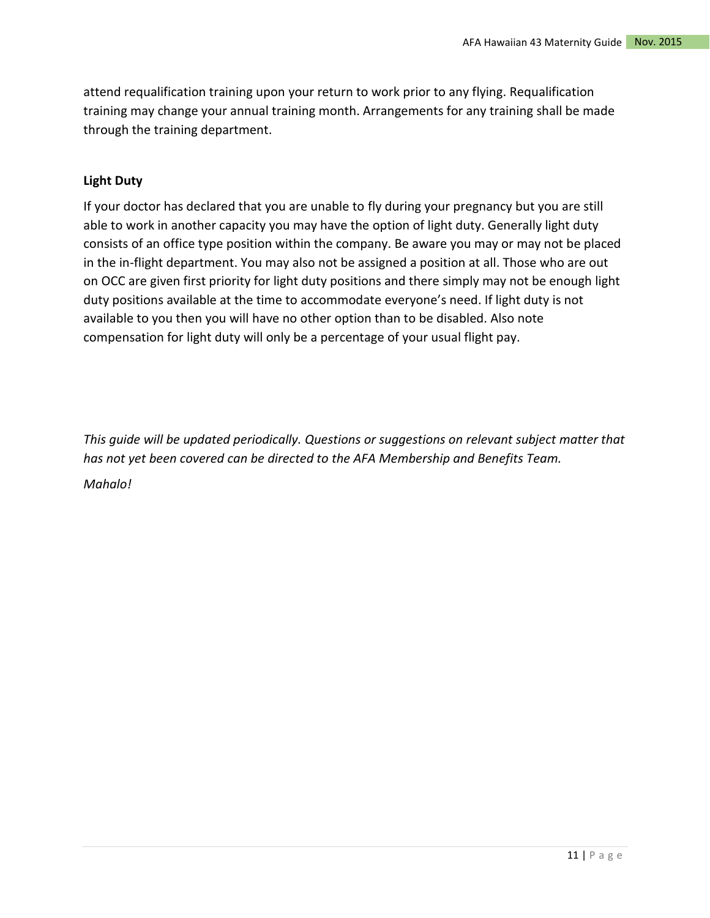attend requalification training upon your return to work prior to any flying. Requalification training may change your annual training month. Arrangements for any training shall be made through the training department.

## **Light Duty**

If your doctor has declared that you are unable to fly during your pregnancy but you are still able to work in another capacity you may have the option of light duty. Generally light duty consists of an office type position within the company. Be aware you may or may not be placed in the in-flight department. You may also not be assigned a position at all. Those who are out on OCC are given first priority for light duty positions and there simply may not be enough light duty positions available at the time to accommodate everyone's need. If light duty is not available to you then you will have no other option than to be disabled. Also note compensation for light duty will only be a percentage of your usual flight pay.

*This guide will be updated periodically. Questions or suggestions on relevant subject matter that has not yet been covered can be directed to the AFA Membership and Benefits Team. Mahalo!*